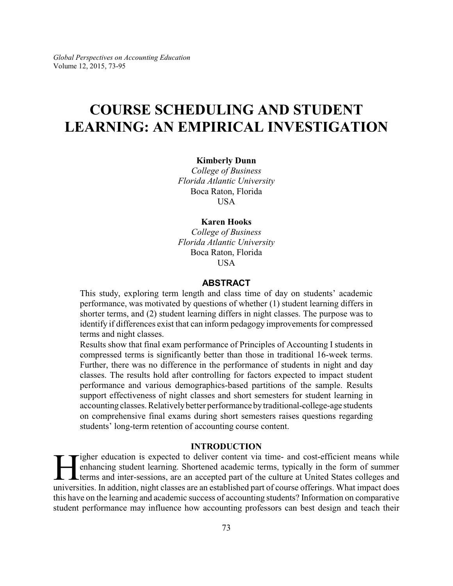# **COURSE SCHEDULING AND STUDENT LEARNING: AN EMPIRICAL INVESTIGATION**

#### **Kimberly Dunn**

*College of Business Florida Atlantic University* Boca Raton, Florida **USA** 

#### **Karen Hooks**

*College of Business Florida Atlantic University* Boca Raton, Florida USA

### **ABSTRACT**

This study, exploring term length and class time of day on students' academic performance, was motivated by questions of whether (1) student learning differs in shorter terms, and (2) student learning differs in night classes. The purpose was to identify if differences exist that can inform pedagogy improvements for compressed terms and night classes.

Results show that final exam performance of Principles of Accounting I students in compressed terms is significantly better than those in traditional 16-week terms. Further, there was no difference in the performance of students in night and day classes. The results hold after controlling for factors expected to impact student performance and various demographics-based partitions of the sample. Results support effectiveness of night classes and short semesters for student learning in accounting classes. Relatively better performance by traditional-college-age students on comprehensive final exams during short semesters raises questions regarding students' long-term retention of accounting course content.

#### **INTRODUCTION**

I gher education is expected to deliver content via time- and cost-efficient means while<br>enhancing student learning. Shortened academic terms, typically in the form of summer<br>terms and inter-sessions, are an accepted part igher education is expected to deliver content via time- and cost-efficient means while enhancing student learning. Shortened academic terms, typically in the form of summer terms and inter-sessions, are an accepted part of the culture at United States colleges and this have on the learning and academic success of accounting students? Information on comparative student performance may influence how accounting professors can best design and teach their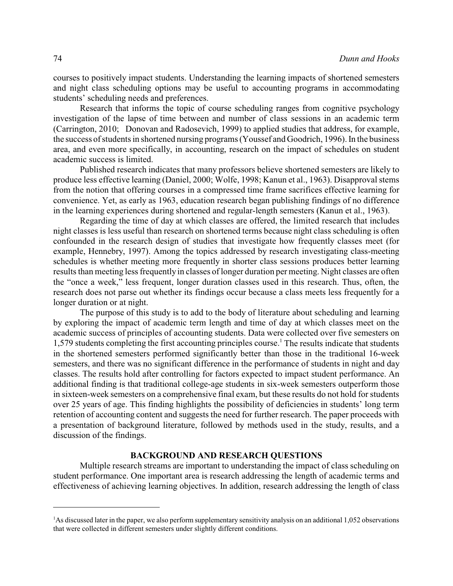courses to positively impact students. Understanding the learning impacts of shortened semesters and night class scheduling options may be useful to accounting programs in accommodating students' scheduling needs and preferences.

Research that informs the topic of course scheduling ranges from cognitive psychology investigation of the lapse of time between and number of class sessions in an academic term (Carrington, 2010; Donovan and Radosevich, 1999) to applied studies that address, for example, the success of students in shortened nursing programs (Youssef and Goodrich, 1996). In the business area, and even more specifically, in accounting, research on the impact of schedules on student academic success is limited.

Published research indicates that many professors believe shortened semesters are likely to produce less effective learning (Daniel, 2000; Wolfe, 1998; Kanun et al., 1963). Disapproval stems from the notion that offering courses in a compressed time frame sacrifices effective learning for convenience. Yet, as early as 1963, education research began publishing findings of no difference in the learning experiences during shortened and regular-length semesters (Kanun et al., 1963).

Regarding the time of day at which classes are offered, the limited research that includes night classes is less useful than research on shortened terms because night class scheduling is often confounded in the research design of studies that investigate how frequently classes meet (for example, Hennebry, 1997). Among the topics addressed by research investigating class-meeting schedules is whether meeting more frequently in shorter class sessions produces better learning results than meeting less frequently in classes of longer duration per meeting. Night classes are often the "once a week," less frequent, longer duration classes used in this research. Thus, often, the research does not parse out whether its findings occur because a class meets less frequently for a longer duration or at night.

The purpose of this study is to add to the body of literature about scheduling and learning by exploring the impact of academic term length and time of day at which classes meet on the academic success of principles of accounting students. Data were collected over five semesters on 1,579 students completing the first accounting principles course.<sup>1</sup> The results indicate that students in the shortened semesters performed significantly better than those in the traditional 16-week semesters, and there was no significant difference in the performance of students in night and day classes. The results hold after controlling for factors expected to impact student performance. An additional finding is that traditional college-age students in six-week semesters outperform those in sixteen-week semesters on a comprehensive final exam, but these results do not hold for students over 25 years of age. This finding highlights the possibility of deficiencies in students' long term retention of accounting content and suggests the need for further research. The paper proceeds with a presentation of background literature, followed by methods used in the study, results, and a discussion of the findings.

#### **BACKGROUND AND RESEARCH QUESTIONS**

Multiple research streams are important to understanding the impact of class scheduling on student performance. One important area is research addressing the length of academic terms and effectiveness of achieving learning objectives. In addition, research addressing the length of class

<sup>&</sup>lt;sup>1</sup>As discussed later in the paper, we also perform supplementary sensitivity analysis on an additional 1,052 observations that were collected in different semesters under slightly different conditions.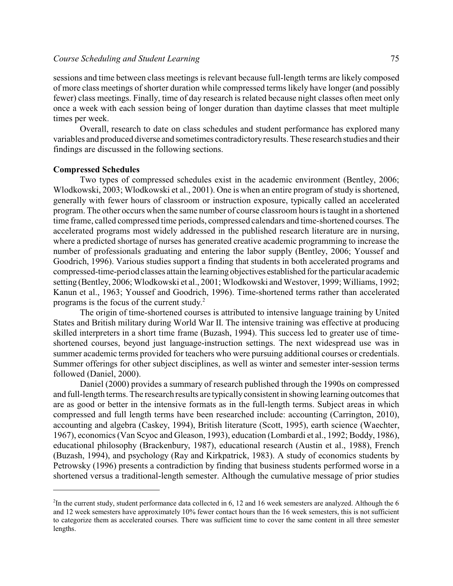#### *Course Scheduling and Student Learning* 75

sessions and time between class meetings is relevant because full-length terms are likely composed of more class meetings of shorter duration while compressed terms likely have longer (and possibly fewer) class meetings. Finally, time of day research is related because night classes often meet only once a week with each session being of longer duration than daytime classes that meet multiple times per week.

Overall, research to date on class schedules and student performance has explored many variables and produced diverse and sometimes contradictoryresults. These research studies and their findings are discussed in the following sections.

#### **Compressed Schedules**

Two types of compressed schedules exist in the academic environment (Bentley, 2006; Wlodkowski, 2003; Wlodkowski et al., 2001). One is when an entire program of study is shortened, generally with fewer hours of classroom or instruction exposure, typically called an accelerated program. The other occurs when the same number of course classroom hours is taught in a shortened time frame, called compressed time periods, compressed calendars and time-shortened courses. The accelerated programs most widely addressed in the published research literature are in nursing, where a predicted shortage of nurses has generated creative academic programming to increase the number of professionals graduating and entering the labor supply (Bentley, 2006; Youssef and Goodrich, 1996). Various studies support a finding that students in both accelerated programs and compressed-time-period classes attain the learning objectives established for the particular academic setting (Bentley, 2006; Wlodkowski et al., 2001; Wlodkowski and Westover, 1999; Williams, 1992; Kanun et al., 1963; Youssef and Goodrich, 1996). Time-shortened terms rather than accelerated programs is the focus of the current study. 2

The origin of time-shortened courses is attributed to intensive language training by United States and British military during World War II. The intensive training was effective at producing skilled interpreters in a short time frame (Buzash, 1994). This success led to greater use of timeshortened courses, beyond just language-instruction settings. The next widespread use was in summer academic terms provided for teachers who were pursuing additional courses or credentials. Summer offerings for other subject disciplines, as well as winter and semester inter-session terms followed (Daniel, 2000).

Daniel (2000) provides a summary of research published through the 1990s on compressed and full-length terms. The research results are typicallyconsistent in showing learning outcomes that are as good or better in the intensive formats as in the full-length terms. Subject areas in which compressed and full length terms have been researched include: accounting (Carrington, 2010), accounting and algebra (Caskey, 1994), British literature (Scott, 1995), earth science (Waechter, 1967), economics (Van Scyoc and Gleason, 1993), education (Lombardi et al., 1992; Boddy, 1986), educational philosophy (Brackenbury, 1987), educational research (Austin et al., 1988), French (Buzash, 1994), and psychology (Ray and Kirkpatrick, 1983). A study of economics students by Petrowsky (1996) presents a contradiction by finding that business students performed worse in a shortened versus a traditional-length semester. Although the cumulative message of prior studies

 $2$ In the current study, student performance data collected in 6, 12 and 16 week semesters are analyzed. Although the 6 and 12 week semesters have approximately 10% fewer contact hours than the 16 week semesters, this is not sufficient to categorize them as accelerated courses. There was sufficient time to cover the same content in all three semester lengths.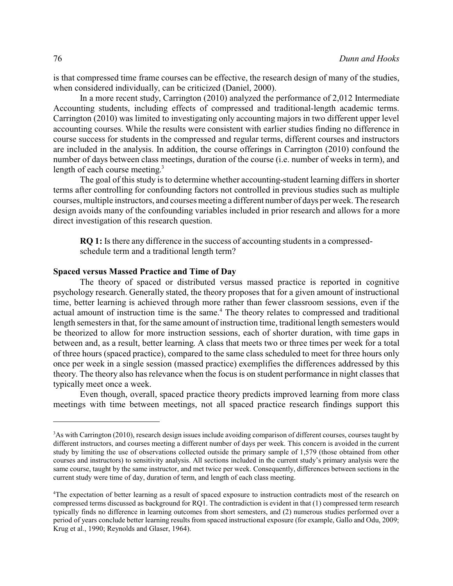is that compressed time frame courses can be effective, the research design of many of the studies, when considered individually, can be criticized (Daniel, 2000).

In a more recent study, Carrington (2010) analyzed the performance of 2,012 Intermediate Accounting students, including effects of compressed and traditional-length academic terms. Carrington (2010) was limited to investigating only accounting majors in two different upper level accounting courses. While the results were consistent with earlier studies finding no difference in course success for students in the compressed and regular terms, different courses and instructors are included in the analysis. In addition, the course offerings in Carrington (2010) confound the number of days between class meetings, duration of the course (i.e. number of weeks in term), and length of each course meeting.<sup>3</sup>

The goal of this study is to determine whether accounting-student learning differs in shorter terms after controlling for confounding factors not controlled in previous studies such as multiple courses, multiple instructors, and courses meeting a different number of days per week. The research design avoids many of the confounding variables included in prior research and allows for a more direct investigation of this research question.

**RQ 1:** Is there any difference in the success of accounting students in a compressedschedule term and a traditional length term?

#### **Spaced versus Massed Practice and Time of Day**

The theory of spaced or distributed versus massed practice is reported in cognitive psychology research. Generally stated, the theory proposes that for a given amount of instructional time, better learning is achieved through more rather than fewer classroom sessions, even if the actual amount of instruction time is the same.<sup>4</sup> The theory relates to compressed and traditional length semesters in that, for the same amount of instruction time, traditional length semesters would be theorized to allow for more instruction sessions, each of shorter duration, with time gaps in between and, as a result, better learning. A class that meets two or three times per week for a total of three hours (spaced practice), compared to the same class scheduled to meet for three hours only once per week in a single session (massed practice) exemplifies the differences addressed by this theory. The theory also has relevance when the focus is on student performance in night classes that typically meet once a week.

Even though, overall, spaced practice theory predicts improved learning from more class meetings with time between meetings, not all spaced practice research findings support this

<sup>&</sup>lt;sup>3</sup>As with Carrington (2010), research design issues include avoiding comparison of different courses, courses taught by different instructors, and courses meeting a different number of days per week. This concern is avoided in the current study by limiting the use of observations collected outside the primary sample of 1,579 (those obtained from other courses and instructors) to sensitivity analysis. All sections included in the current study's primary analysis were the same course, taught by the same instructor, and met twice per week. Consequently, differences between sections in the current study were time of day, duration of term, and length of each class meeting.

<sup>4</sup>The expectation of better learning as a result of spaced exposure to instruction contradicts most of the research on compressed terms discussed as background for RQ1. The contradiction is evident in that (1) compressed term research typically finds no difference in learning outcomes from short semesters, and (2) numerous studies performed over a period of years conclude better learning results from spaced instructional exposure (for example, Gallo and Odu, 2009; Krug et al., 1990; Reynolds and Glaser, 1964).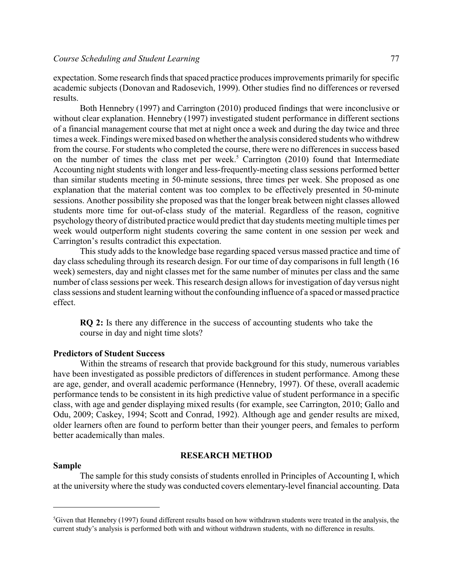expectation. Some research finds that spaced practice produces improvements primarily for specific academic subjects (Donovan and Radosevich, 1999). Other studies find no differences or reversed results.

Both Hennebry (1997) and Carrington (2010) produced findings that were inconclusive or without clear explanation. Hennebry (1997) investigated student performance in different sections of a financial management course that met at night once a week and during the day twice and three times a week. Findings were mixed based on whether the analysis considered students who withdrew from the course. For students who completed the course, there were no differences in success based on the number of times the class met per week.<sup>5</sup> Carrington  $(2010)$  found that Intermediate Accounting night students with longer and less-frequently-meeting class sessions performed better than similar students meeting in 50-minute sessions, three times per week. She proposed as one explanation that the material content was too complex to be effectively presented in 50-minute sessions. Another possibility she proposed was that the longer break between night classes allowed students more time for out-of-class study of the material. Regardless of the reason, cognitive psychology theory of distributed practice would predict that day students meeting multiple times per week would outperform night students covering the same content in one session per week and Carrington's results contradict this expectation.

This study adds to the knowledge base regarding spaced versus massed practice and time of day class scheduling through its research design. For our time of day comparisons in full length (16) week) semesters, day and night classes met for the same number of minutes per class and the same number of class sessions per week. This research design allows for investigation of day versus night class sessions and student learningwithout the confounding influence of a spaced or massed practice effect.

**RQ 2:** Is there any difference in the success of accounting students who take the course in day and night time slots?

#### **Predictors of Student Success**

Within the streams of research that provide background for this study, numerous variables have been investigated as possible predictors of differences in student performance. Among these are age, gender, and overall academic performance (Hennebry, 1997). Of these, overall academic performance tends to be consistent in its high predictive value of student performance in a specific class, with age and gender displaying mixed results (for example, see Carrington, 2010; Gallo and Odu, 2009; Caskey, 1994; Scott and Conrad, 1992). Although age and gender results are mixed, older learners often are found to perform better than their younger peers, and females to perform better academically than males.

#### **RESEARCH METHOD**

#### **Sample**

The sample for this study consists of students enrolled in Principles of Accounting I, which at the university where the study was conducted covers elementary-level financial accounting. Data

 ${}^5$ Given that Hennebry (1997) found different results based on how withdrawn students were treated in the analysis, the current study's analysis is performed both with and without withdrawn students, with no difference in results.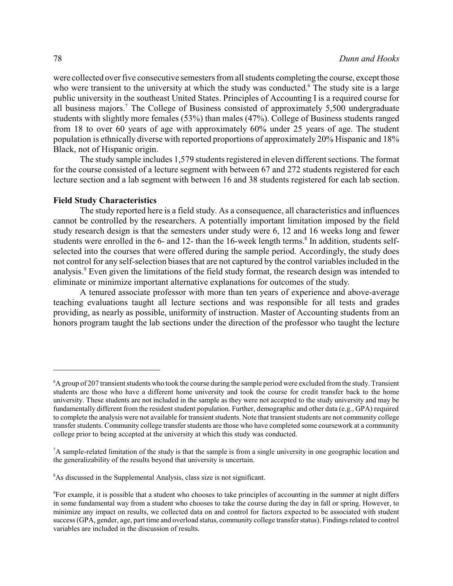were collected over five consecutive semesters from all students completing the course, except those who were transient to the university at which the study was conducted.<sup>6</sup> The study site is a large public university in the southeast United States. Principles of Accounting I is a required course for all business majors.<sup>7</sup> The College of Business consisted of approximately 5,500 undergraduate students with slightly more females (53%) than males (47%). College of Business students ranged from 18 to over 60 years of age with approximately 60% under 25 years of age. The student population is ethnically diverse with reported proportions of approximately 20% Hispanic and 18% Black, not of Hispanic origin.

The study sample includes 1,579 students registered in eleven different sections. The format for the course consisted of a lecture segment with between 67 and 272 students registered for each lecture section and a lab segment with between 16 and 38 students registered for each lab section.

#### **Field Study Characteristics**

The study reported here is a field study. As a consequence, all characteristics and influences cannot be controlled by the researchers. A potentially important limitation imposed by the field study research design is that the semesters under study were 6, 12 and 16 weeks long and fewer students were enrolled in the 6- and 12- than the 16-week length terms.<sup>8</sup> In addition, students selfselected into the courses that were offered during the sample period. Accordingly, the study does not control for any self-selection biases that are not captured by the control variables included in the analysis.<sup>9</sup> Even given the limitations of the field study format, the research design was intended to eliminate or minimize important alternative explanations for outcomes of the study.

A tenured associate professor with more than ten years of experience and above-average teaching evaluations taught all lecture sections and was responsible for all tests and grades providing, as nearly as possible, uniformity of instruction. Master of Accounting students from an honors program taught the lab sections under the direction of the professor who taught the lecture

<sup>6</sup>A group of 207 transient students who took the course during the sample period were excluded fromthe study. Transient students are those who have a different home university and took the course for credit transfer back to the home university. These students are not included in the sample as they were not accepted to the study university and may be fundamentally different from the resident student population. Further, demographic and other data (e.g., GPA) required to complete the analysis were not available for transient students. Note that transient students are not community college transfer students. Community college transfer students are those who have completed some coursework at a community college prior to being accepted at the university at which this study was conducted.

<sup>7</sup>A sample-related limitation of the study is that the sample is from a single university in one geographic location and the generalizability of the results beyond that university is uncertain.

<sup>&</sup>lt;sup>8</sup>As discussed in the Supplemental Analysis, class size is not significant.

<sup>9</sup>For example, it is possible that a student who chooses to take principles of accounting in the summer at night differs in some fundamental way from a student who chooses to take the course during the day in fall or spring. However, to minimize any impact on results, we collected data on and control for factors expected to be associated with student success (GPA, gender, age, part time and overload status, community college transfer status). Findings related to control variables are included in the discussion of results.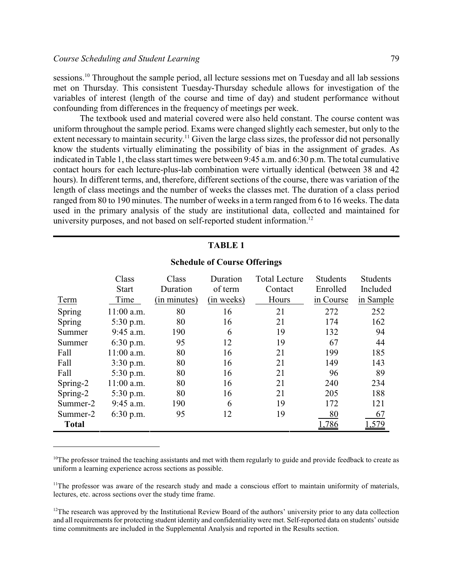sessions.<sup>10</sup> Throughout the sample period, all lecture sessions met on Tuesday and all lab sessions met on Thursday. This consistent Tuesday-Thursday schedule allows for investigation of the variables of interest (length of the course and time of day) and student performance without confounding from differences in the frequency of meetings per week.

The textbook used and material covered were also held constant. The course content was uniform throughout the sample period. Exams were changed slightly each semester, but only to the extent necessary to maintain security.<sup>11</sup> Given the large class sizes, the professor did not personally know the students virtually eliminating the possibility of bias in the assignment of grades. As indicated in Table 1, the class start times were between 9:45 a.m. and 6:30 p.m. The total cumulative contact hours for each lecture-plus-lab combination were virtually identical (between 38 and 42 hours). In different terms, and, therefore, different sections of the course, there was variation of the length of class meetings and the number of weeks the classes met. The duration of a class period ranged from 80 to 190 minutes. The number of weeks in a term ranged from 6 to 16 weeks. The data used in the primary analysis of the study are institutional data, collected and maintained for university purposes, and not based on self-reported student information.<sup>12</sup>

| TABLE 1 |  |
|---------|--|
|         |  |

#### Term Class Start Time Class Duration (in minutes) Duration of term (in weeks) Total Lecture Contact Hours Students Enrolled in Course Students Included in Sample Spring 11:00 a.m. 80 16 21 272 252 Spring 5:30 p.m. 80 16 21 174 162 Summer 9:45 a.m. 190 6 19 132 94 Summer 6:30 p.m. 95 12 19 67 44 Fall 11:00 a.m. 80 16 21 199 185 Fall 3:30 p.m. 80 16 21 149 143 Fall 5:30 p.m. 80 16 21 96 89 Spring-2 11:00 a.m. 80 16 21 240 234 Spring-2 5:30 p.m. 80 16 21 205 188 Summer-2 9:45 a.m. 190 6 19 172 121 Summer-2 6:30 p.m. 95 12 19 80 67 **Total** 1,786 1,579

### **Schedule of Course Offerings**

 $10$ The professor trained the teaching assistants and met with them regularly to guide and provide feedback to create as uniform a learning experience across sections as possible.

 $11$ The professor was aware of the research study and made a conscious effort to maintain uniformity of materials, lectures, etc. across sections over the study time frame.

 $12$ The research was approved by the Institutional Review Board of the authors' university prior to any data collection and all requirements for protecting student identity and confidentiality were met. Self-reported data on students' outside time commitments are included in the Supplemental Analysis and reported in the Results section.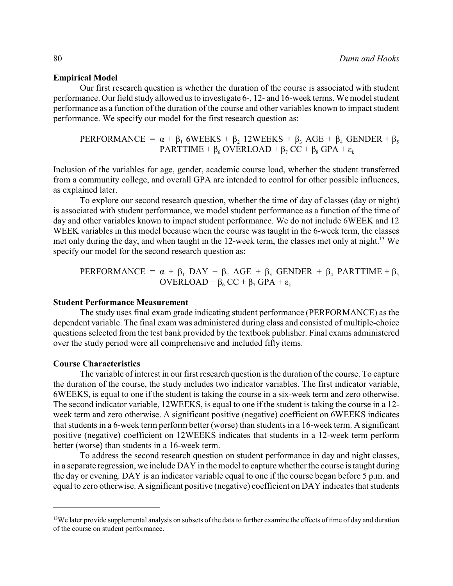### **Empirical Model**

Our first research question is whether the duration of the course is associated with student performance. Our field study allowed us to investigate 6-, 12- and 16-week terms. We model student performance as a function of the duration of the course and other variables known to impact student performance. We specify our model for the first research question as:

PERFORMANCE =  $\alpha + \beta_1$  6WEEKS +  $\beta_2$  12WEEKS +  $\beta_3$  AGE +  $\beta_4$  GENDER +  $\beta_5$  $\texttt{PARTTIME} + \beta_6 \text{ OVERLOAD} + \beta_7 \text{ CC} + \beta_8 \text{ GPA} + \varepsilon_{\rm k}$ 

Inclusion of the variables for age, gender, academic course load, whether the student transferred from a community college, and overall GPA are intended to control for other possible influences, as explained later.

To explore our second research question, whether the time of day of classes (day or night) is associated with student performance, we model student performance as a function of the time of day and other variables known to impact student performance. We do not include 6WEEK and 12 WEEK variables in this model because when the course was taught in the 6-week term, the classes met only during the day, and when taught in the 12-week term, the classes met only at night.<sup>13</sup> We specify our model for the second research question as:

PERFORMANCE = 
$$
\alpha + \beta_1
$$
 DAY +  $\beta_2$  AGE +  $\beta_3$  GENDER +  $\beta_4$  PARTTIME +  $\beta_5$   
OVERLOAD +  $\beta_6$  CC +  $\beta_7$  GPA + ε<sub>k</sub>

#### **Student Performance Measurement**

The study uses final exam grade indicating student performance (PERFORMANCE) as the dependent variable. The final exam was administered during class and consisted of multiple-choice questions selected from the test bank provided by the textbook publisher. Final exams administered over the study period were all comprehensive and included fifty items.

#### **Course Characteristics**

The variable of interest in our first research question is the duration of the course. To capture the duration of the course, the study includes two indicator variables. The first indicator variable, 6WEEKS, is equal to one if the student is taking the course in a six-week term and zero otherwise. The second indicator variable, 12WEEKS, is equal to one if the student is taking the course in a 12 week term and zero otherwise. A significant positive (negative) coefficient on 6WEEKS indicates that students in a 6-week term perform better (worse) than students in a 16-week term. A significant positive (negative) coefficient on 12WEEKS indicates that students in a 12-week term perform better (worse) than students in a 16-week term.

To address the second research question on student performance in day and night classes, in a separate regression, we include DAY in the model to capture whether the course is taught during the day or evening. DAY is an indicator variable equal to one if the course began before 5 p.m. and equal to zero otherwise. A significant positive (negative) coefficient on DAY indicates that students

<sup>&</sup>lt;sup>13</sup>We later provide supplemental analysis on subsets of the data to further examine the effects of time of day and duration of the course on student performance.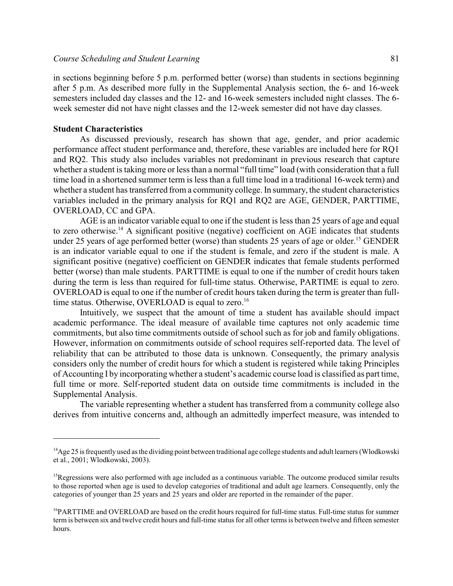in sections beginning before 5 p.m. performed better (worse) than students in sections beginning after 5 p.m. As described more fully in the Supplemental Analysis section, the 6- and 16-week semesters included day classes and the 12- and 16-week semesters included night classes. The 6 week semester did not have night classes and the 12-week semester did not have day classes.

#### **Student Characteristics**

As discussed previously, research has shown that age, gender, and prior academic performance affect student performance and, therefore, these variables are included here for RQ1 and RQ2. This study also includes variables not predominant in previous research that capture whether a student is taking more or less than a normal "full time" load (with consideration that a full time load in a shortened summer term is less than a full time load in a traditional 16-week term) and whether a student has transferred from a community college. In summary, the student characteristics variables included in the primary analysis for RQ1 and RQ2 are AGE, GENDER, PARTTIME, OVERLOAD, CC and GPA.

AGE is an indicator variable equal to one if the student is less than 25 years of age and equal to zero otherwise.<sup>14</sup> A significant positive (negative) coefficient on AGE indicates that students under 25 years of age performed better (worse) than students 25 years of age or older.<sup>15</sup> GENDER is an indicator variable equal to one if the student is female, and zero if the student is male. A significant positive (negative) coefficient on GENDER indicates that female students performed better (worse) than male students. PARTTIME is equal to one if the number of credit hours taken during the term is less than required for full-time status. Otherwise, PARTIME is equal to zero. OVERLOAD is equal to one if the number of credit hours taken during the term is greater than fulltime status. Otherwise, OVERLOAD is equal to zero.<sup>16</sup>

Intuitively, we suspect that the amount of time a student has available should impact academic performance. The ideal measure of available time captures not only academic time commitments, but also time commitments outside of school such as for job and family obligations. However, information on commitments outside of school requires self-reported data. The level of reliability that can be attributed to those data is unknown. Consequently, the primary analysis considers only the number of credit hours for which a student is registered while taking Principles of Accounting I by incorporating whether a student's academic course load is classified as part time, full time or more. Self-reported student data on outside time commitments is included in the Supplemental Analysis.

The variable representing whether a student has transferred from a community college also derives from intuitive concerns and, although an admittedly imperfect measure, was intended to

 $^{14}$ Age 25 is frequently used as the dividing point between traditional age college students and adult learners (Wlodkowski et al., 2001; Wlodkowski, 2003).

 $15$ Regressions were also performed with age included as a continuous variable. The outcome produced similar results to those reported when age is used to develop categories of traditional and adult age learners. Consequently, only the categories of younger than 25 years and 25 years and older are reported in the remainder of the paper.

<sup>&</sup>lt;sup>16</sup>PARTTIME and OVERLOAD are based on the credit hours required for full-time status. Full-time status for summer term is between six and twelve credit hours and full-time status for all other termsis between twelve and fifteen semester hours.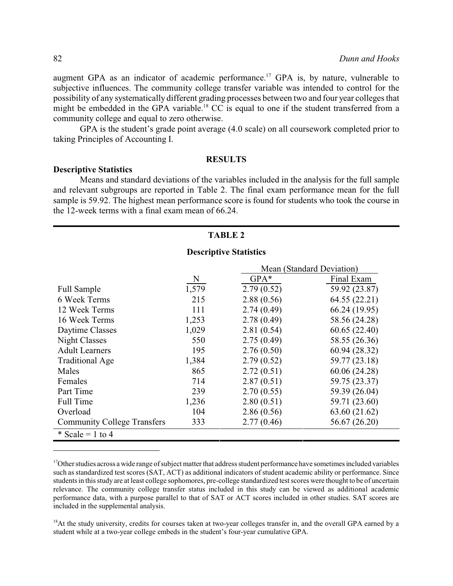augment GPA as an indicator of academic performance.<sup>17</sup> GPA is, by nature, vulnerable to subjective influences. The community college transfer variable was intended to control for the possibility of any systematically different grading processes between two and four year colleges that might be embedded in the GPA variable.<sup>18</sup> CC is equal to one if the student transferred from a community college and equal to zero otherwise.

GPA is the student's grade point average (4.0 scale) on all coursework completed prior to taking Principles of Accounting I.

#### **RESULTS**

#### **Descriptive Statistics**

Means and standard deviations of the variables included in the analysis for the full sample and relevant subgroups are reported in Table 2. The final exam performance mean for the full sample is 59.92. The highest mean performance score is found for students who took the course in the 12-week terms with a final exam mean of 66.24.

#### **TABLE 2**

#### **Descriptive Statistics**

|                                    |       | Mean (Standard Deviation) |               |  |
|------------------------------------|-------|---------------------------|---------------|--|
|                                    | N     | $GPA*$                    | Final Exam    |  |
| Full Sample                        | 1,579 | 2.79(0.52)                | 59.92 (23.87) |  |
| 6 Week Terms                       | 215   | 2.88(0.56)                | 64.55 (22.21) |  |
| 12 Week Terms                      | 111   | 2.74(0.49)                | 66.24 (19.95) |  |
| 16 Week Terms                      | 1,253 | 2.78(0.49)                | 58.56 (24.28) |  |
| Daytime Classes                    | 1,029 | 2.81(0.54)                | 60.65(22.40)  |  |
| <b>Night Classes</b>               | 550   | 2.75(0.49)                | 58.55 (26.36) |  |
| <b>Adult Learners</b>              | 195   | 2.76(0.50)                | 60.94 (28.32) |  |
| <b>Traditional Age</b>             | 1,384 | 2.79(0.52)                | 59.77 (23.18) |  |
| Males                              | 865   | 2.72(0.51)                | 60.06 (24.28) |  |
| Females                            | 714   | 2.87(0.51)                | 59.75 (23.37) |  |
| Part Time                          | 239   | 2.70(0.55)                | 59.39 (26.04) |  |
| Full Time                          | 1,236 | 2.80(0.51)                | 59.71 (23.60) |  |
| Overload                           | 104   | 2.86(0.56)                | 63.60 (21.62) |  |
| <b>Community College Transfers</b> | 333   | 2.77(0.46)                | 56.67 (26.20) |  |
| $\text{* Scale} = 1$ to 4          |       |                           |               |  |

<sup>17</sup>Other studies across a wide range of subject matter that address student performance have sometimes included variables such as standardized test scores (SAT, ACT) as additional indicators of student academic ability or performance. Since students in this study are at least college sophomores, pre-college standardized test scores were thought to be of uncertain relevance. The community college transfer status included in this study can be viewed as additional academic performance data, with a purpose parallel to that of SAT or ACT scores included in other studies. SAT scores are included in the supplemental analysis.

 $18$ At the study university, credits for courses taken at two-year colleges transfer in, and the overall GPA earned by a student while at a two-year college embeds in the student's four-year cumulative GPA.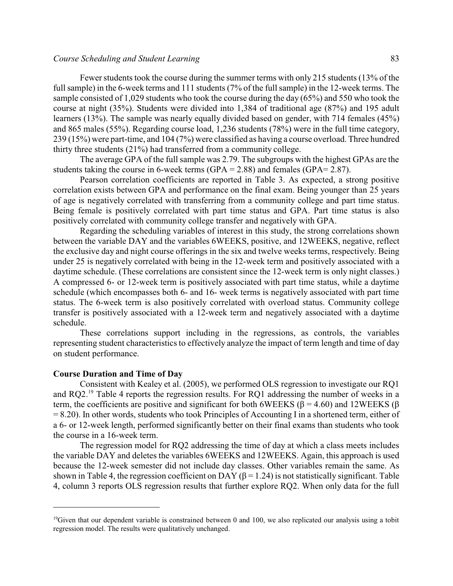#### *Course Scheduling and Student Learning* 83

Fewer students took the course during the summer terms with only 215 students (13% of the full sample) in the 6-week terms and 111 students (7% of the full sample) in the 12-week terms. The sample consisted of 1,029 students who took the course during the day (65%) and 550 who took the course at night (35%). Students were divided into 1,384 of traditional age (87%) and 195 adult learners (13%). The sample was nearly equally divided based on gender, with 714 females (45%) and 865 males (55%). Regarding course load, 1,236 students (78%) were in the full time category, 239 (15%) were part-time, and 104 (7%) were classified as having a course overload. Three hundred thirty three students (21%) had transferred from a community college.

The average GPA of the full sample was 2.79. The subgroups with the highest GPAs are the students taking the course in 6-week terms  $(GPA = 2.88)$  and females  $(GPA = 2.87)$ .

Pearson correlation coefficients are reported in Table 3. As expected, a strong positive correlation exists between GPA and performance on the final exam. Being younger than 25 years of age is negatively correlated with transferring from a community college and part time status. Being female is positively correlated with part time status and GPA. Part time status is also positively correlated with community college transfer and negatively with GPA.

Regarding the scheduling variables of interest in this study, the strong correlations shown between the variable DAY and the variables 6WEEKS, positive, and 12WEEKS, negative, reflect the exclusive day and night course offerings in the six and twelve weeks terms, respectively. Being under 25 is negatively correlated with being in the 12-week term and positively associated with a daytime schedule. (These correlations are consistent since the 12-week term is only night classes.) A compressed 6- or 12-week term is positively associated with part time status, while a daytime schedule (which encompasses both 6- and 16- week terms is negatively associated with part time status. The 6-week term is also positively correlated with overload status. Community college transfer is positively associated with a 12-week term and negatively associated with a daytime schedule.

These correlations support including in the regressions, as controls, the variables representing student characteristics to effectively analyze the impact of term length and time of day on student performance.

#### **Course Duration and Time of Day**

Consistent with Kealey et al. (2005), we performed OLS regression to investigate our RQ1 and RQ2.<sup>19</sup> Table 4 reports the regression results. For RQ1 addressing the number of weeks in a term, the coefficients are positive and significant for both 6WEEKS ( $\beta$  = 4.60) and 12WEEKS ( $\beta$  $= 8.20$ ). In other words, students who took Principles of Accounting I in a shortened term, either of a 6- or 12-week length, performed significantly better on their final exams than students who took the course in a 16-week term.

The regression model for RQ2 addressing the time of day at which a class meets includes the variable DAY and deletes the variables 6WEEKS and 12WEEKS. Again, this approach is used because the 12-week semester did not include day classes. Other variables remain the same. As shown in Table 4, the regression coefficient on DAY ( $\beta$  = 1.24) is not statistically significant. Table 4, column 3 reports OLS regression results that further explore RQ2. When only data for the full

 $19$ Given that our dependent variable is constrained between 0 and 100, we also replicated our analysis using a tobit regression model. The results were qualitatively unchanged.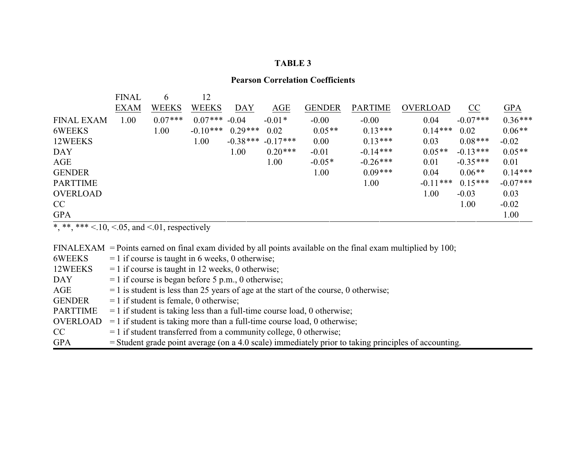# **Pearson Correlation Coefficients**

|                   | <b>FINAL</b> | 6            | 12              |           |                       |               |                |            |            |            |
|-------------------|--------------|--------------|-----------------|-----------|-----------------------|---------------|----------------|------------|------------|------------|
|                   | <b>EXAM</b>  | <b>WEEKS</b> | <b>WEEKS</b>    | DAY       | AGE                   | <b>GENDER</b> | <b>PARTIME</b> | OVERLOAD   | CC         | <b>GPA</b> |
| <b>FINAL EXAM</b> | 1.00         | $0.07***$    | $0.07***$ -0.04 |           | $-0.01*$              | $-0.00$       | $-0.00$        | 0.04       | $-0.07***$ | $0.36***$  |
| 6WEEKS            |              | 1.00         | $-0.10***$      | $0.29***$ | 0.02                  | $0.05**$      | $0.13***$      | $0.14***$  | 0.02       | $0.06**$   |
| 12WEEKS           |              |              | 1.00            |           | $-0.38***$ $-0.17***$ | 0.00          | $0.13***$      | 0.03       | $0.08***$  | $-0.02$    |
| <b>DAY</b>        |              |              |                 | 1.00      | $0.20***$             | $-0.01$       | $-0.14***$     | $0.05**$   | $-0.13***$ | $0.05**$   |
| AGE               |              |              |                 |           | 1.00                  | $-0.05*$      | $-0.26***$     | 0.01       | $-0.35***$ | 0.01       |
| <b>GENDER</b>     |              |              |                 |           |                       | 1.00          | $0.09***$      | 0.04       | $0.06**$   | $0.14***$  |
| <b>PARTTIME</b>   |              |              |                 |           |                       |               | 1.00           | $-0.11***$ | $0.15***$  | $-0.07***$ |
| <b>OVERLOAD</b>   |              |              |                 |           |                       |               |                | 1.00       | $-0.03$    | 0.03       |
| CC                |              |              |                 |           |                       |               |                |            | 1.00       | $-0.02$    |
| <b>GPA</b>        |              |              |                 |           |                       |               |                |            |            | 1.00       |

\*, \*\*, \*\*\* <.10, <.05, and <.01, respectively

FINALEXAM = Points earned on final exam divided by all points available on the final exam multiplied by 100;

| 6WEEKS          | $= 1$ if course is taught in 6 weeks, 0 otherwise;                                                     |
|-----------------|--------------------------------------------------------------------------------------------------------|
| 12WEEKS         | $= 1$ if course is taught in 12 weeks, 0 otherwise;                                                    |
| <b>DAY</b>      | $= 1$ if course is began before 5 p.m., 0 otherwise;                                                   |
| AGE             | $=$ 1 is student is less than 25 years of age at the start of the course, 0 otherwise;                 |
| <b>GENDER</b>   | $= 1$ if student is female, 0 otherwise;                                                               |
| <b>PARTTIME</b> | $=$ 1 if student is taking less than a full-time course load, 0 otherwise;                             |
| <b>OVERLOAD</b> | $=$ 1 if student is taking more than a full-time course load, 0 otherwise;                             |
| CC              | $=$ 1 if student transferred from a community college, 0 otherwise;                                    |
| <b>GPA</b>      | $=$ Student grade point average (on a 4.0 scale) immediately prior to taking principles of accounting. |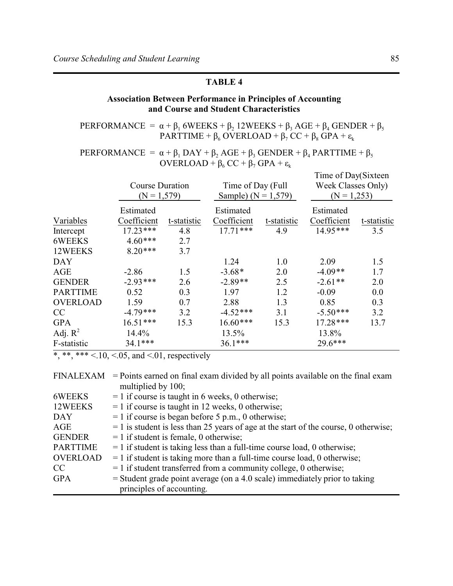# **Association Between Performance in Principles of Accounting** and Course and Student Characteristics

PERFORMANCE =  $\alpha + \beta_1$  6WEEKS +  $\beta_2$  12WEEKS +  $\beta_3$  AGE +  $\beta_4$  GENDER +  $\beta_5$ PARTTIME +  $\beta_6$  OVERLOAD +  $\beta_7$  CC +  $\beta_8$  GPA +  $\varepsilon_k$ 

# PERFORMANCE =  $\alpha + \beta_1$  DAY +  $\beta_2$  AGE +  $\beta_3$  GENDER +  $\beta_4$  PARTTIME +  $\beta_5$ OVERLOAD +  $\beta_6$  CC +  $\beta_7$  GPA +  $\varepsilon_k$

|             |             |                                         |             | Time of Day(Sixteen |                    |
|-------------|-------------|-----------------------------------------|-------------|---------------------|--------------------|
|             |             |                                         |             |                     |                    |
|             |             | Sample) ( $N = 1,579$ )                 |             | $(N = 1,253)$       |                    |
| Estimated   |             | Estimated                               |             | Estimated           |                    |
| Coefficient | t-statistic | Coefficient                             | t-statistic | Coefficient         | t-statistic        |
| $17.23***$  | 4.8         | $17.71***$                              | 4.9         | $14.95***$          | 3.5                |
| $4.60***$   | 2.7         |                                         |             |                     |                    |
| $8.20***$   | 3.7         |                                         |             |                     |                    |
|             |             | 1.24                                    | 1.0         | 2.09                | 1.5                |
| $-2.86$     | 1.5         | $-3.68*$                                | 2.0         | $-4.09**$           | 1.7                |
| $-2.93***$  | 2.6         | $-2.89**$                               | 2.5         | $-2.61**$           | 2.0                |
| 0.52        | 0.3         | 1.97                                    | 1.2         | $-0.09$             | 0.0                |
| 1.59        | 0.7         | 2.88                                    | 1.3         | 0.85                | 0.3                |
| $-4.79***$  | 3.2         | $-4.52***$                              | 3.1         | $-5.50***$          | 3.2                |
| $16.51***$  | 15.3        | $16.60***$                              | 15.3        | $17.28***$          | 13.7               |
| 14.4%       |             | 13.5%                                   |             | 13.8%               |                    |
| 34.1***     |             | $36.1***$                               |             | 29.6***             |                    |
|             |             | <b>Course Duration</b><br>$(N = 1,579)$ |             | Time of Day (Full   | Week Classes Only) |

\*,\*\*,\*\*\* <.10, <.05, and <.01, respectively

| FINALEXAM       | $=$ Points earned on final exam divided by all points available on the final exam      |
|-----------------|----------------------------------------------------------------------------------------|
|                 | multiplied by 100;                                                                     |
| 6WEEKS          | $= 1$ if course is taught in 6 weeks, 0 otherwise;                                     |
| 12WEEKS         | $= 1$ if course is taught in 12 weeks, 0 otherwise;                                    |
| DAY             | $= 1$ if course is began before 5 p.m., 0 otherwise;                                   |
| AGE             | $=$ 1 is student is less than 25 years of age at the start of the course, 0 otherwise; |
| <b>GENDER</b>   | $= 1$ if student is female, 0 otherwise;                                               |
| <b>PARTTIME</b> | $=$ 1 if student is taking less than a full-time course load, 0 otherwise;             |
| <b>OVERLOAD</b> | $=$ 1 if student is taking more than a full-time course load, 0 otherwise;             |
| CC              | $= 1$ if student transferred from a community college, 0 otherwise;                    |
| <b>GPA</b>      | $=$ Student grade point average (on a 4.0 scale) immediately prior to taking           |
|                 | principles of accounting.                                                              |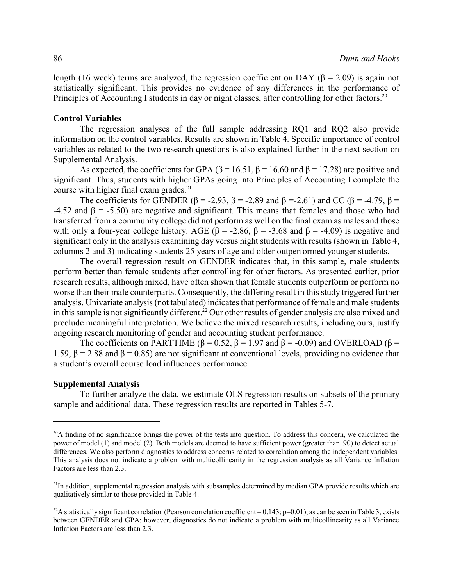length (16 week) terms are analyzed, the regression coefficient on DAY ( $\beta$  = 2.09) is again not statistically significant. This provides no evidence of any differences in the performance of Principles of Accounting I students in day or night classes, after controlling for other factors.<sup>20</sup>

#### **Control Variables**

The regression analyses of the full sample addressing RQ1 and RQ2 also provide information on the control variables. Results are shown in Table 4. Specific importance of control variables as related to the two research questions is also explained further in the next section on Supplemental Analysis.

As expected, the coefficients for GPA ( $\beta$  = 16.51,  $\beta$  = 16.60 and  $\beta$  = 17.28) are positive and significant. Thus, students with higher GPAs going into Principles of Accounting I complete the course with higher final exam grades.<sup>21</sup>

The coefficients for GENDER ( $\beta$  = -2.93,  $\beta$  = -2.89 and  $\beta$  = -2.61) and CC ( $\beta$  = -4.79,  $\beta$  = -4.52 and  $\beta$  = -5.50) are negative and significant. This means that females and those who had transferred from a community college did not perform as well on the final exam as males and those with only a four-year college history. AGE ( $\beta$  = -2.86,  $\beta$  = -3.68 and  $\beta$  = -4.09) is negative and significant only in the analysis examining day versus night students with results (shown in Table 4, columns 2 and 3) indicating students 25 years of age and older outperformed younger students.

The overall regression result on GENDER indicates that, in this sample, male students perform better than female students after controlling for other factors. As presented earlier, prior research results, although mixed, have often shown that female students outperform or perform no worse than their male counterparts. Consequently, the differing result in this study triggered further analysis. Univariate analysis (not tabulated) indicates that performance of female and male students in this sample is not significantly different.<sup>22</sup> Our other results of gender analysis are also mixed and preclude meaningful interpretation. We believe the mixed research results, including ours, justify ongoing research monitoring of gender and accounting student performance.

The coefficients on PARTTIME ( $\beta$  = 0.52,  $\beta$  = 1.97 and  $\beta$  = -0.09) and OVERLOAD ( $\beta$  = 1.59,  $\beta$  = 2.88 and  $\beta$  = 0.85) are not significant at conventional levels, providing no evidence that a student's overall course load influences performance.

### **Supplemental Analysis**

To further analyze the data, we estimate OLS regression results on subsets of the primary sample and additional data. These regression results are reported in Tables 5-7.

 $^{20}$ A finding of no significance brings the power of the tests into question. To address this concern, we calculated the power of model (1) and model (2). Both models are deemed to have sufficient power (greater than .90) to detect actual differences. We also perform diagnostics to address concerns related to correlation among the independent variables. This analysis does not indicate a problem with multicollinearity in the regression analysis as all Variance Inflation Factors are less than 2.3.

 $^{21}$ In addition, supplemental regression analysis with subsamples determined by median GPA provide results which are qualitatively similar to those provided in Table 4.

<sup>&</sup>lt;sup>22</sup>A statistically significant correlation (Pearson correlation coefficient = 0.143;  $p=0.01$ ), as can be seen in Table 3, exists between GENDER and GPA; however, diagnostics do not indicate a problem with multicollinearity as all Variance Inflation Factors are less than 2.3.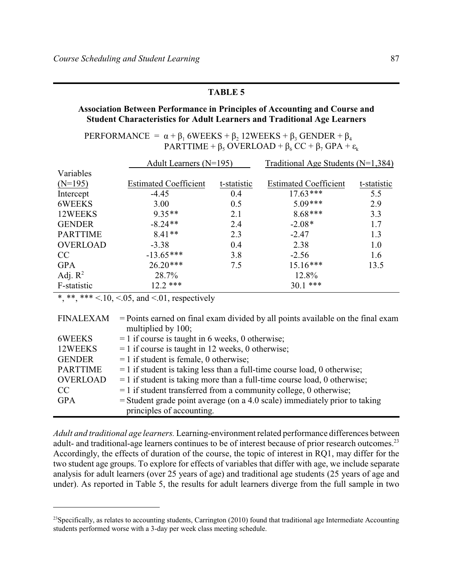## Association Between Performance in Principles of Accounting and Course and **Student Characteristics for Adult Learners and Traditional Age Learners**

PERFORMANCE =  $\alpha + \beta_1$  6WEEKS +  $\beta_2$  12WEEKS +  $\beta_3$  GENDER +  $\beta_4$ PARTTIME +  $\beta_5$  OVERLOAD +  $\beta_6$  CC +  $\beta_7$  GPA +  $\varepsilon_k$ 

|                 | Adult Learners $(N=195)$     |             | Traditional Age Students ( $N=1,384$ ) |             |  |
|-----------------|------------------------------|-------------|----------------------------------------|-------------|--|
| Variables       |                              |             |                                        |             |  |
| $(N=195)$       | <b>Estimated Coefficient</b> | t-statistic | <b>Estimated Coefficient</b>           | t-statistic |  |
| Intercept       | $-4.45$                      | 0.4         | $17.63***$                             | 5.5         |  |
| 6WEEKS          | 3.00                         | 0.5         | $5.09***$                              | 2.9         |  |
| 12WEEKS         | $9.35**$                     | 2.1         | $8.68***$                              | 3.3         |  |
| <b>GENDER</b>   | $-8.24**$                    | 2.4         | $-2.08*$                               | 1.7         |  |
| <b>PARTTIME</b> | $8.41**$                     | 2.3         | $-2.47$                                | 1.3         |  |
| <b>OVERLOAD</b> | $-3.38$                      | 0.4         | 2.38                                   | 1.0         |  |
| CC              | $-13.65***$                  | 3.8         | $-2.56$                                | 1.6         |  |
| <b>GPA</b>      | $26.20***$                   | 7.5         | $15.16***$                             | 13.5        |  |
| Adj. $R^2$      | 28.7%                        |             | 12.8%                                  |             |  |
| F-statistic     | $12.2$ ***                   |             | $30.1$ ***                             |             |  |

\*, \*\*\*  $\times$  10,  $\times$  05, and  $\times$  01, respectively

| <b>FINALEXAM</b> | $=$ Points earned on final exam divided by all points available on the final exam |
|------------------|-----------------------------------------------------------------------------------|
|                  | multiplied by 100;                                                                |
| 6WEEKS           | $= 1$ if course is taught in 6 weeks, 0 otherwise;                                |
| 12WEEKS          | $= 1$ if course is taught in 12 weeks, 0 otherwise;                               |
| <b>GENDER</b>    | $= 1$ if student is female, 0 otherwise;                                          |
| <b>PARTTIME</b>  | $=$ 1 if student is taking less than a full-time course load, 0 otherwise;        |
| <b>OVERLOAD</b>  | $=$ 1 if student is taking more than a full-time course load, 0 otherwise;        |
| CC               | $=$ 1 if student transferred from a community college, 0 otherwise;               |
| <b>GPA</b>       | $=$ Student grade point average (on a 4.0 scale) immediately prior to taking      |
|                  | principles of accounting.                                                         |

Adult and traditional age learners. Learning-environment related performance differences between adult- and traditional-age learners continues to be of interest because of prior research outcomes.<sup>23</sup> Accordingly, the effects of duration of the course, the topic of interest in RQ1, may differ for the two student age groups. To explore for effects of variables that differ with age, we include separate analysis for adult learners (over 25 years of age) and traditional age students (25 years of age and under). As reported in Table 5, the results for adult learners diverge from the full sample in two

<sup>&</sup>lt;sup>23</sup>Specifically, as relates to accounting students, Carrington (2010) found that traditional age Intermediate Accounting students performed worse with a 3-day per week class meeting schedule.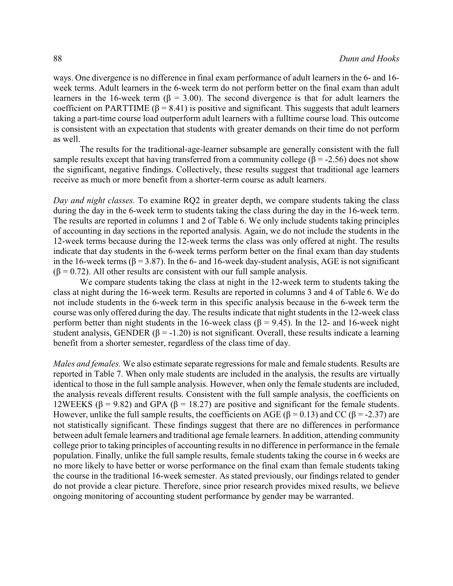ways. One divergence is no difference in final exam performance of adult learners in the 6- and 16 week terms. Adult learners in the 6-week term do not perform better on the final exam than adult learners in the 16-week term ( $\beta$  = 3.00). The second divergence is that for adult learners the coefficient on PARTTIME ( $\beta$  = 8.41) is positive and significant. This suggests that adult learners taking a part-time course load outperform adult learners with a fulltime course load. This outcome is consistent with an expectation that students with greater demands on their time do not perform as well.

The results for the traditional-age-learner subsample are generally consistent with the full sample results except that having transferred from a community college ( $\beta$  = -2.56) does not show the significant, negative findings. Collectively, these results suggest that traditional age learners receive as much or more benefit from a shorter-term course as adult learners.

*Day and night classes.* To examine RQ2 in greater depth, we compare students taking the class during the day in the 6-week term to students taking the class during the day in the 16-week term. The results are reported in columns 1 and 2 of Table 6. We only include students taking principles of accounting in day sections in the reported analysis. Again, we do not include the students in the 12-week terms because during the 12-week terms the class was only offered at night. The results indicate that day students in the 6-week terms perform better on the final exam than day students in the 16-week terms ( $\beta$  = 3.87). In the 6- and 16-week day-student analysis, AGE is not significant  $(\beta = 0.72)$ . All other results are consistent with our full sample analysis.

We compare students taking the class at night in the 12-week term to students taking the class at night during the 16-week term. Results are reported in columns 3 and 4 of Table 6. We do not include students in the 6-week term in this specific analysis because in the 6-week term the course was only offered during the day. The results indicate that night students in the 12-week class perform better than night students in the 16-week class ( $\beta$  = 9.45). In the 12- and 16-week night student analysis, GENDER ( $\beta$  = -1.20) is not significant. Overall, these results indicate a learning benefit from a shorter semester, regardless of the class time of day.

*Males and females.* We also estimate separate regressions for male and female students. Results are reported in Table 7. When only male students are included in the analysis, the results are virtually identical to those in the full sample analysis. However, when only the female students are included, the analysis reveals different results. Consistent with the full sample analysis, the coefficients on 12WEEKS ( $\beta$  = 9.82) and GPA ( $\beta$  = 18.27) are positive and significant for the female students. However, unlike the full sample results, the coefficients on AGE ( $\beta$  = 0.13) and CC ( $\beta$  = -2.37) are not statistically significant. These findings suggest that there are no differences in performance between adult female learners and traditional age female learners. In addition, attending community college prior to taking principles of accounting results in no difference in performance in the female population. Finally, unlike the full sample results, female students taking the course in 6 weeks are no more likely to have better or worse performance on the final exam than female students taking the course in the traditional 16-week semester. As stated previously, our findings related to gender do not provide a clear picture. Therefore, since prior research provides mixed results, we believe ongoing monitoring of accounting student performance by gender may be warranted.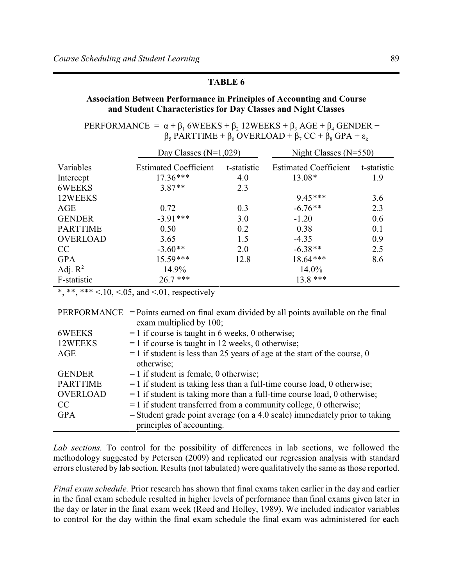# **Association Between Performance in Principles of Accounting and Course** and Student Characteristics for Day Classes and Night Classes

PERFORMANCE =  $\alpha + \beta_1$  6WEEKS +  $\beta_2$  12WEEKS +  $\beta_3$  AGE +  $\beta_4$  GENDER +  $\beta_5$  PARTTIME +  $\beta_6$  OVERLOAD +  $\beta_7$  CC +  $\beta_8$  GPA +  $\varepsilon_k$ 

|                 | Day Classes $(N=1,029)$      |             | Night Classes $(N=550)$      |             |  |
|-----------------|------------------------------|-------------|------------------------------|-------------|--|
| Variables       | <b>Estimated Coefficient</b> | t-statistic | <b>Estimated Coefficient</b> | t-statistic |  |
| Intercept       | $17.36***$                   | 4.0         | $13.08*$                     | 1.9         |  |
| 6WEEKS          | $3.87**$                     | 2.3         |                              |             |  |
| 12WEEKS         |                              |             | $9.45***$                    | 3.6         |  |
| AGE             | 0.72                         | 0.3         | $-6.76**$                    | 2.3         |  |
| <b>GENDER</b>   | $-3.91***$                   | 3.0         | $-1.20$                      | 0.6         |  |
| <b>PARTTIME</b> | 0.50                         | 0.2         | 0.38                         | 0.1         |  |
| <b>OVERLOAD</b> | 3.65                         | 1.5         | $-4.35$                      | 0.9         |  |
| CC              | $-3.60**$                    | 2.0         | $-6.38**$                    | 2.5         |  |
| <b>GPA</b>      | $15.59***$                   | 12.8        | 18.64***                     | 8.6         |  |
| Adj. $R^2$      | 14.9%                        |             | 14.0%                        |             |  |
| F-statistic     | $26.7***$                    |             | $13.8***$                    |             |  |

\*,\*\*,\*\*\* <.10, <.05, and <.01, respectively

|                 | $PERFORMANCE$ = Points earned on final exam divided by all points available on the final |
|-----------------|------------------------------------------------------------------------------------------|
|                 | exam multiplied by 100;                                                                  |
| 6WEEKS          | $= 1$ if course is taught in 6 weeks, 0 otherwise;                                       |
| 12WEEKS         | $= 1$ if course is taught in 12 weeks, 0 otherwise;                                      |
| AGE             | $=$ 1 if student is less than 25 years of age at the start of the course, 0              |
|                 | otherwise;                                                                               |
| <b>GENDER</b>   | $= 1$ if student is female, 0 otherwise;                                                 |
| <b>PARTTIME</b> | $=$ 1 if student is taking less than a full-time course load, 0 otherwise;               |
| <b>OVERLOAD</b> | $=$ 1 if student is taking more than a full-time course load, 0 otherwise;               |
| CC              | $=$ 1 if student transferred from a community college, 0 otherwise;                      |
| <b>GPA</b>      | $=$ Student grade point average (on a 4.0 scale) immediately prior to taking             |
|                 | principles of accounting.                                                                |

Lab sections. To control for the possibility of differences in lab sections, we followed the methodology suggested by Petersen (2009) and replicated our regression analysis with standard errors clustered by lab section. Results (not tabulated) were qualitatively the same as those reported.

Final exam schedule. Prior research has shown that final exams taken earlier in the day and earlier in the final exam schedule resulted in higher levels of performance than final exams given later in the day or later in the final exam week (Reed and Holley, 1989). We included indicator variables to control for the day within the final exam schedule the final exam was administered for each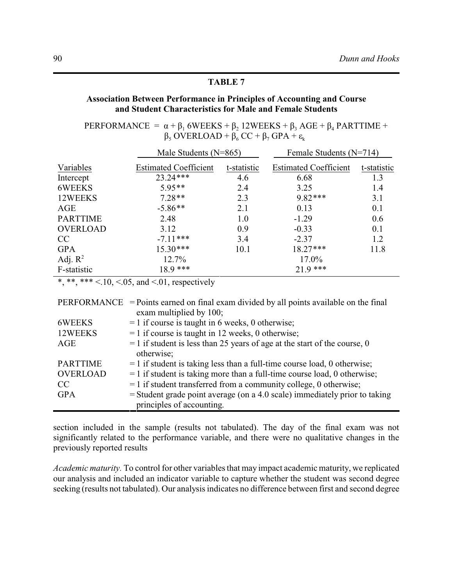# **Association Between Performance in Principles of Accounting and Course** and Student Characteristics for Male and Female Students

PERFORMANCE =  $\alpha + \beta_1$  6WEEKS +  $\beta_2$  12WEEKS +  $\beta_3$  AGE +  $\beta_4$  PARTTIME +  $\beta_5$  OVERLOAD +  $\beta_6$  CC +  $\beta_7$  GPA +  $\varepsilon_k$ 

|                 | Male Students $(N=865)$      |             | Female Students $(N=714)$    |             |  |
|-----------------|------------------------------|-------------|------------------------------|-------------|--|
| Variables       | <b>Estimated Coefficient</b> | t-statistic | <b>Estimated Coefficient</b> | t-statistic |  |
| Intercept       | $23.24***$                   | 4.6         | 6.68                         | 1.3         |  |
| 6WEEKS          | $5.95**$                     | 2.4         | 3.25                         | 1.4         |  |
| 12WEEKS         | $7.28**$                     | 2.3         | $9.82***$                    | 3.1         |  |
| AGE             | $-5.86**$                    | 2.1         | 0.13                         | 0.1         |  |
| <b>PARTTIME</b> | 2.48                         | 1.0         | $-1.29$                      | 0.6         |  |
| <b>OVERLOAD</b> | 3.12                         | 0.9         | $-0.33$                      | 0.1         |  |
| CC              | $-7.11***$                   | 3.4         | $-2.37$                      | 1.2         |  |
| <b>GPA</b>      | $15.30***$                   | 10.1        | $18.27***$                   | 11.8        |  |
| Adj. $R^2$      | 12.7%                        |             | 17.0%                        |             |  |
| F-statistic     | $18.9***$                    |             | $21.9***$                    |             |  |

\*,\*\*,\*\*\* <.10, <.05, and <.01, respectively

|                 | $PERFORMANCE$ = Points earned on final exam divided by all points available on the final |
|-----------------|------------------------------------------------------------------------------------------|
|                 | exam multiplied by 100;                                                                  |
| 6WEEKS          | $= 1$ if course is taught in 6 weeks, 0 otherwise;                                       |
| 12WEEKS         | $= 1$ if course is taught in 12 weeks, 0 otherwise;                                      |
| AGE             | $=$ 1 if student is less than 25 years of age at the start of the course, 0              |
|                 | otherwise;                                                                               |
| <b>PARTTIME</b> | $=$ 1 if student is taking less than a full-time course load, 0 otherwise;               |
| <b>OVERLOAD</b> | $=$ 1 if student is taking more than a full-time course load, 0 otherwise;               |
| CC              | $=$ 1 if student transferred from a community college, 0 otherwise;                      |
| <b>GPA</b>      | $=$ Student grade point average (on a 4.0 scale) immediately prior to taking             |
|                 | principles of accounting.                                                                |

section included in the sample (results not tabulated). The day of the final exam was not significantly related to the performance variable, and there were no qualitative changes in the previously reported results

Academic maturity. To control for other variables that may impact academic maturity, we replicated our analysis and included an indicator variable to capture whether the student was second degree seeking (results not tabulated). Our analysis indicates no difference between first and second degree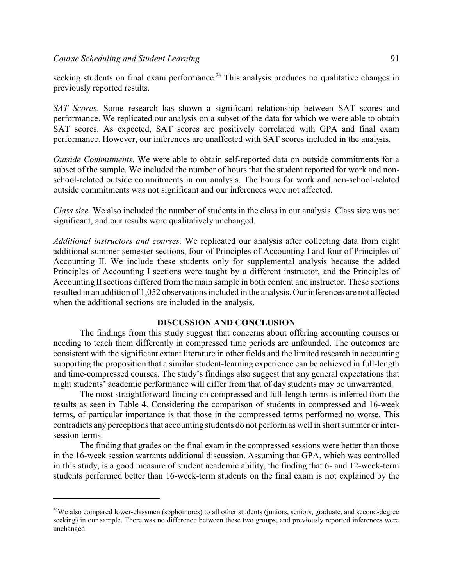seeking students on final exam performance.<sup>24</sup> This analysis produces no qualitative changes in previously reported results.

*SAT Scores.* Some research has shown a significant relationship between SAT scores and performance. We replicated our analysis on a subset of the data for which we were able to obtain SAT scores. As expected, SAT scores are positively correlated with GPA and final exam performance. However, our inferences are unaffected with SAT scores included in the analysis.

*Outside Commitments.* We were able to obtain self-reported data on outside commitments for a subset of the sample. We included the number of hours that the student reported for work and nonschool-related outside commitments in our analysis. The hours for work and non-school-related outside commitments was not significant and our inferences were not affected.

*Class size.* We also included the number of students in the class in our analysis. Class size was not significant, and our results were qualitatively unchanged.

*Additional instructors and courses.* We replicated our analysis after collecting data from eight additional summer semester sections, four of Principles of Accounting I and four of Principles of Accounting II. We include these students only for supplemental analysis because the added Principles of Accounting I sections were taught by a different instructor, and the Principles of Accounting II sections differed from the main sample in both content and instructor. These sections resulted in an addition of 1,052 observations included in the analysis. Our inferences are not affected when the additional sections are included in the analysis.

#### **DISCUSSION AND CONCLUSION**

The findings from this study suggest that concerns about offering accounting courses or needing to teach them differently in compressed time periods are unfounded. The outcomes are consistent with the significant extant literature in other fields and the limited research in accounting supporting the proposition that a similar student-learning experience can be achieved in full-length and time-compressed courses. The study's findings also suggest that any general expectations that night students' academic performance will differ from that of day students may be unwarranted.

The most straightforward finding on compressed and full-length terms is inferred from the results as seen in Table 4. Considering the comparison of students in compressed and 16-week terms, of particular importance is that those in the compressed terms performed no worse. This contradicts any perceptions that accounting students do not perform as well in short summer or intersession terms.

The finding that grades on the final exam in the compressed sessions were better than those in the 16-week session warrants additional discussion. Assuming that GPA, which was controlled in this study, is a good measure of student academic ability, the finding that 6- and 12-week-term students performed better than 16-week-term students on the final exam is not explained by the

<sup>&</sup>lt;sup>24</sup>We also compared lower-classmen (sophomores) to all other students (juniors, seniors, graduate, and second-degree seeking) in our sample. There was no difference between these two groups, and previously reported inferences were unchanged.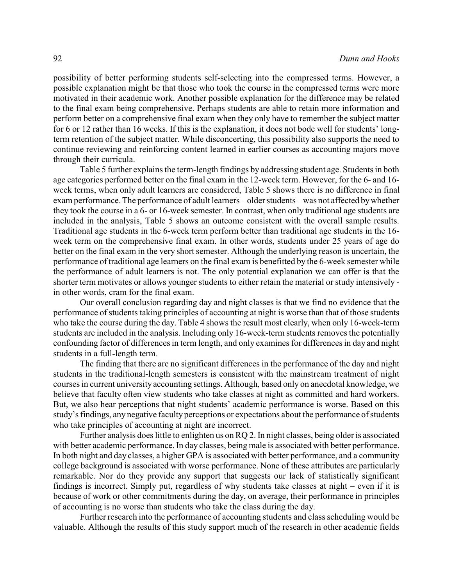possibility of better performing students self-selecting into the compressed terms. However, a possible explanation might be that those who took the course in the compressed terms were more motivated in their academic work. Another possible explanation for the difference may be related to the final exam being comprehensive. Perhaps students are able to retain more information and perform better on a comprehensive final exam when they only have to remember the subject matter for 6 or 12 rather than 16 weeks. If this is the explanation, it does not bode well for students' longterm retention of the subject matter. While disconcerting, this possibility also supports the need to continue reviewing and reinforcing content learned in earlier courses as accounting majors move through their curricula.

Table 5 further explains the term-length findings by addressing student age. Students in both age categories performed better on the final exam in the 12-week term. However, for the 6- and 16 week terms, when only adult learners are considered, Table 5 shows there is no difference in final exam performance. The performance of adult learners – older students – was not affected bywhether they took the course in a 6- or 16-week semester. In contrast, when only traditional age students are included in the analysis, Table 5 shows an outcome consistent with the overall sample results. Traditional age students in the 6-week term perform better than traditional age students in the 16 week term on the comprehensive final exam. In other words, students under 25 years of age do better on the final exam in the very short semester. Although the underlying reason is uncertain, the performance of traditional age learners on the final exam is benefitted by the 6-week semester while the performance of adult learners is not. The only potential explanation we can offer is that the shorter term motivates or allows younger students to either retain the material or study intensively in other words, cram for the final exam.

Our overall conclusion regarding day and night classes is that we find no evidence that the performance of students taking principles of accounting at night is worse than that of those students who take the course during the day. Table 4 shows the result most clearly, when only 16-week-term students are included in the analysis. Including only 16-week-term students removes the potentially confounding factor of differences in term length, and only examines for differences in day and night students in a full-length term.

The finding that there are no significant differences in the performance of the day and night students in the traditional-length semesters is consistent with the mainstream treatment of night courses in current university accounting settings. Although, based only on anecdotal knowledge, we believe that faculty often view students who take classes at night as committed and hard workers. But, we also hear perceptions that night students' academic performance is worse. Based on this study's findings, any negative faculty perceptions or expectations about the performance of students who take principles of accounting at night are incorrect.

Further analysis does little to enlighten us on RQ 2. In night classes, being older is associated with better academic performance. In day classes, being male is associated with better performance. In both night and day classes, a higher GPA is associated with better performance, and a community college background is associated with worse performance. None of these attributes are particularly remarkable. Nor do they provide any support that suggests our lack of statistically significant findings is incorrect. Simply put, regardless of why students take classes at night – even if it is because of work or other commitments during the day, on average, their performance in principles of accounting is no worse than students who take the class during the day.

Further research into the performance of accounting students and class scheduling would be valuable. Although the results of this study support much of the research in other academic fields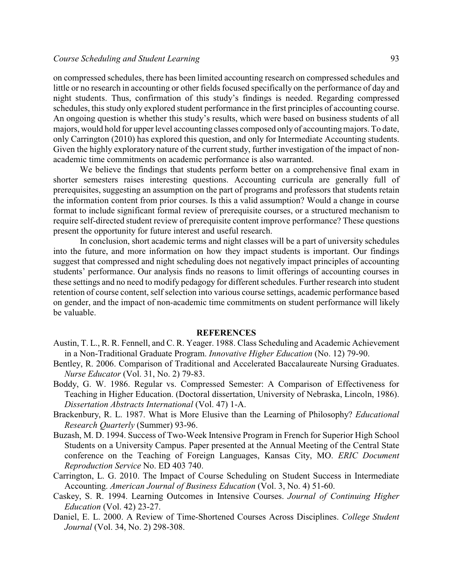#### *Course Scheduling and Student Learning* 2008 120 and 2008 120 and 2008 120 and 2008 120 and 2008 120 and 2008 120 and 2008 120 and 2008 120 and 2008 120 and 2008 120 and 2008 120 and 2008 120 and 2008 120 and 2008 120 and

on compressed schedules, there has been limited accounting research on compressed schedules and little or no research in accounting or other fields focused specifically on the performance of day and night students. Thus, confirmation of this study's findings is needed. Regarding compressed schedules, this study only explored student performance in the first principles of accounting course. An ongoing question is whether this study's results, which were based on business students of all majors, would hold for upper level accounting classes composed only of accountingmajors. To date, only Carrington (2010) has explored this question, and only for Intermediate Accounting students. Given the highly exploratory nature of the current study, further investigation of the impact of nonacademic time commitments on academic performance is also warranted.

We believe the findings that students perform better on a comprehensive final exam in shorter semesters raises interesting questions. Accounting curricula are generally full of prerequisites, suggesting an assumption on the part of programs and professors that students retain the information content from prior courses. Is this a valid assumption? Would a change in course format to include significant formal review of prerequisite courses, or a structured mechanism to require self-directed student review of prerequisite content improve performance? These questions present the opportunity for future interest and useful research.

In conclusion, short academic terms and night classes will be a part of university schedules into the future, and more information on how they impact students is important. Our findings suggest that compressed and night scheduling does not negatively impact principles of accounting students' performance. Our analysis finds no reasons to limit offerings of accounting courses in these settings and no need to modify pedagogy for different schedules. Further research into student retention of course content, self selection into various course settings, academic performance based on gender, and the impact of non-academic time commitments on student performance will likely be valuable.

#### **REFERENCES**

- Austin, T. L., R. R. Fennell, and C. R. Yeager. 1988. Class Scheduling and Academic Achievement in a Non-Traditional Graduate Program. *Innovative Higher Education* (No. 12) 79-90.
- Bentley, R. 2006. Comparison of Traditional and Accelerated Baccalaureate Nursing Graduates. *Nurse Educator* (Vol. 31, No. 2) 79-83.
- Boddy, G. W. 1986. Regular vs. Compressed Semester: A Comparison of Effectiveness for Teaching in Higher Education. (Doctoral dissertation, University of Nebraska, Lincoln, 1986). *Dissertation Abstracts International* (Vol. 47) 1-A.
- Brackenbury, R. L. 1987. What is More Elusive than the Learning of Philosophy? *Educational Research Quarterly* (Summer) 93-96.
- Buzash, M. D. 1994. Success of Two-Week Intensive Program in French for Superior High School Students on a University Campus. Paper presented at the Annual Meeting of the Central State conference on the Teaching of Foreign Languages, Kansas City, MO. *ERIC Document Reproduction Service* No. ED 403 740.
- Carrington, L. G. 2010. The Impact of Course Scheduling on Student Success in Intermediate Accounting. *American Journal of Business Education* (Vol. 3, No. 4) 51-60.
- Caskey, S. R. 1994. Learning Outcomes in Intensive Courses. *Journal of Continuing Higher Education* (Vol. 42) 23-27.
- Daniel, E. L. 2000. A Review of Time-Shortened Courses Across Disciplines. *College Student Journal* (Vol. 34, No. 2) 298-308.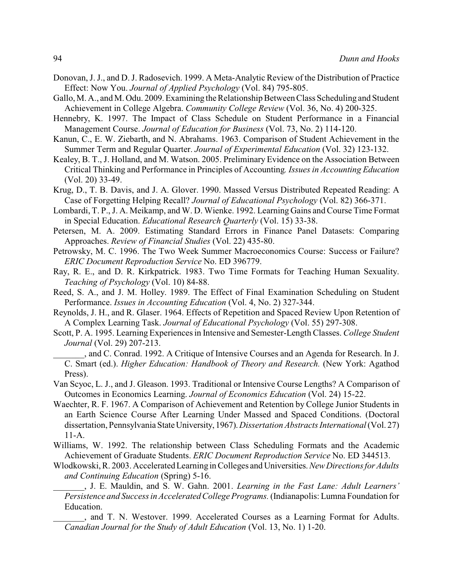- Donovan, J. J., and D. J. Radosevich. 1999. A Meta-Analytic Review of the Distribution of Practice Effect: Now You. *Journal of Applied Psychology* (Vol. 84) 795-805.
- Gallo, M. A., and M. Odu. 2009.Examining the Relationship Between Class Scheduling and Student Achievement in College Algebra. *Community College Review* (Vol. 36, No. 4) 200-325.
- Hennebry, K. 1997. The Impact of Class Schedule on Student Performance in a Financial Management Course. *Journal of Education for Business* (Vol. 73, No. 2) 114-120.
- Kanun, C., E. W. Ziebarth, and N. Abrahams. 1963. Comparison of Student Achievement in the Summer Term and Regular Quarter. *Journal of Experimental Education* (Vol. 32) 123-132.
- Kealey, B. T., J. Holland, and M. Watson. 2005. Preliminary Evidence on the Association Between Critical Thinking and Performance in Principles of Accounting*. Issues in Accounting Education* (Vol. 20) 33-49.
- Krug, D., T. B. Davis, and J. A. Glover. 1990. Massed Versus Distributed Repeated Reading: A Case of Forgetting Helping Recall? *Journal of Educational Psychology* (Vol. 82) 366-371.
- Lombardi, T. P., J. A. Meikamp, and W. D. Wienke. 1992. Learning Gains and Course Time Format in Special Education. *Educational Research Quarterly* (Vol. 15) 33-38.
- Petersen, M. A. 2009. Estimating Standard Errors in Finance Panel Datasets: Comparing Approaches. *Review of Financial Studies* (Vol. 22) 435-80.
- Petrowsky, M. C. 1996. The Two Week Summer Macroeconomics Course: Success or Failure? *ERIC Document Reproduction Service* No. ED 396779.
- Ray, R. E., and D. R. Kirkpatrick. 1983. Two Time Formats for Teaching Human Sexuality. *Teaching of Psychology* (Vol. 10) 84-88.
- Reed, S. A., and J. M. Holley. 1989. The Effect of Final Examination Scheduling on Student Performance. *Issues in Accounting Education* (Vol. 4, No. 2) 327-344.
- Reynolds, J. H., and R. Glaser. 1964. Effects of Repetition and Spaced Review Upon Retention of A Complex Learning Task. *Journal of Educational Psychology* (Vol. 55) 297-308.
- Scott, P. A. 1995. Learning Experiences in Intensive and Semester-Length Classes. *College Student Journal* (Vol. 29) 207-213.
- \_\_\_\_\_\_\_, and C. Conrad. 1992. A Critique of Intensive Courses and an Agenda for Research. In J. C. Smart (ed.). *Higher Education: Handbook of Theory and Research.* (New York: Agathod Press).
- Van Scyoc, L. J., and J. Gleason. 1993. Traditional or Intensive Course Lengths? A Comparison of Outcomes in Economics Learning. *Journal of Economics Education* (Vol. 24) 15-22.
- Waechter, R. F. 1967. A Comparison of Achievement and Retention by College Junior Students in an Earth Science Course After Learning Under Massed and Spaced Conditions. (Doctoral dissertation, Pennsylvania StateUniversity, 1967).*Dissertation Abstracts International*(Vol. 27) 11-A.
- Williams, W. 1992. The relationship between Class Scheduling Formats and the Academic Achievement of Graduate Students. *ERIC Document Reproduction Service* No. ED 344513.
- Wlodkowski, R. 2003. Accelerated Learning in Colleges and Universities.*NewDirections for Adults and Continuing Education* (Spring) 5-16.
	- \_\_\_\_\_\_\_, J. E. Mauldin, and S. W. Gahn. 2001. *Learning in the Fast Lane: Adult Learners' Persistence and Success in Accelerated College Programs.*(Indianapolis: Lumna Foundation for Education.
	- \_\_\_\_\_\_\_, and T. N. Westover. 1999. Accelerated Courses as a Learning Format for Adults. *Canadian Journal for the Study of Adult Education* (Vol. 13, No. 1) 1-20.